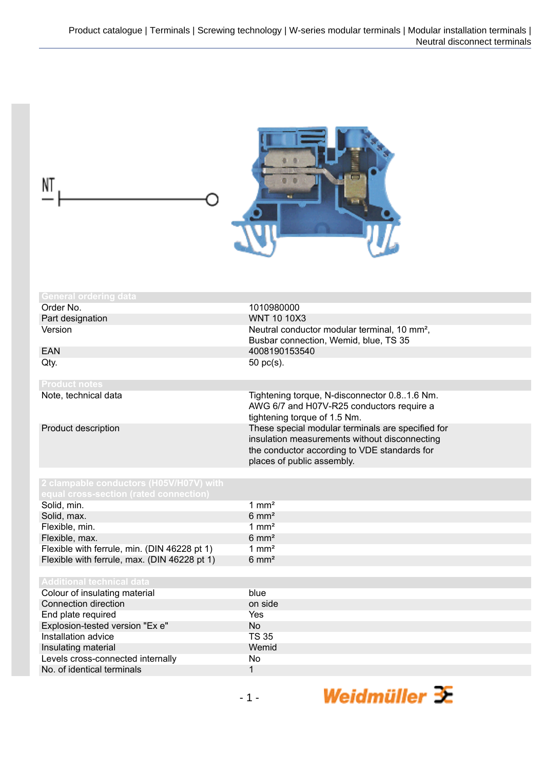| <b>General ordering data</b>                                                      |                                                                                                                                                                                                                                                               |
|-----------------------------------------------------------------------------------|---------------------------------------------------------------------------------------------------------------------------------------------------------------------------------------------------------------------------------------------------------------|
| Order No.                                                                         | 1010980000                                                                                                                                                                                                                                                    |
| Part designation                                                                  | <b>WNT 10 10X3</b>                                                                                                                                                                                                                                            |
| Version                                                                           | Neutral conductor modular terminal, 10 mm <sup>2</sup> ,                                                                                                                                                                                                      |
|                                                                                   | Busbar connection, Wemid, blue, TS 35                                                                                                                                                                                                                         |
| <b>EAN</b>                                                                        | 4008190153540                                                                                                                                                                                                                                                 |
| Qty.                                                                              | 50 pc(s).                                                                                                                                                                                                                                                     |
| <b>Product notes</b>                                                              |                                                                                                                                                                                                                                                               |
| Note, technical data                                                              | Tightening torque, N-disconnector 0.81.6 Nm.                                                                                                                                                                                                                  |
| Product description                                                               | AWG 6/7 and H07V-R25 conductors require a<br>tightening torque of 1.5 Nm.<br>These special modular terminals are specified for<br>insulation measurements without disconnecting<br>the conductor according to VDE standards for<br>places of public assembly. |
| 2 clampable conductors (H05V/H07V) with<br>equal cross-section (rated connection) |                                                                                                                                                                                                                                                               |
| Solid, min.                                                                       | $1 \text{ mm}^2$                                                                                                                                                                                                                                              |
| Solid, max.                                                                       | $6 \text{ mm}^2$                                                                                                                                                                                                                                              |
| Flexible, min.                                                                    | $1 \text{ mm}^2$                                                                                                                                                                                                                                              |
| Flexible, max.                                                                    | $6 \text{ mm}^2$                                                                                                                                                                                                                                              |
| Flexible with ferrule, min. (DIN 46228 pt 1)                                      | $1 \text{ mm}^2$                                                                                                                                                                                                                                              |
| Flexible with ferrule, max. (DIN 46228 pt 1)                                      | $6 \text{ mm}^2$                                                                                                                                                                                                                                              |
|                                                                                   |                                                                                                                                                                                                                                                               |
| <b>Additional technical data</b>                                                  |                                                                                                                                                                                                                                                               |
| Colour of insulating material                                                     | blue                                                                                                                                                                                                                                                          |
| Connection direction                                                              | on side                                                                                                                                                                                                                                                       |
| End plate required                                                                | Yes                                                                                                                                                                                                                                                           |
| Explosion-tested version "Ex e"                                                   | No                                                                                                                                                                                                                                                            |
| Installation advice                                                               | <b>TS 35</b>                                                                                                                                                                                                                                                  |
| Insulating material                                                               | Wemid                                                                                                                                                                                                                                                         |
| Levels cross-connected internally                                                 | No                                                                                                                                                                                                                                                            |
| No. of identical terminals                                                        | $\mathbf{1}$                                                                                                                                                                                                                                                  |
|                                                                                   | Weidmüller $\mathbf{\bar{x}}$<br>$-1-$                                                                                                                                                                                                                        |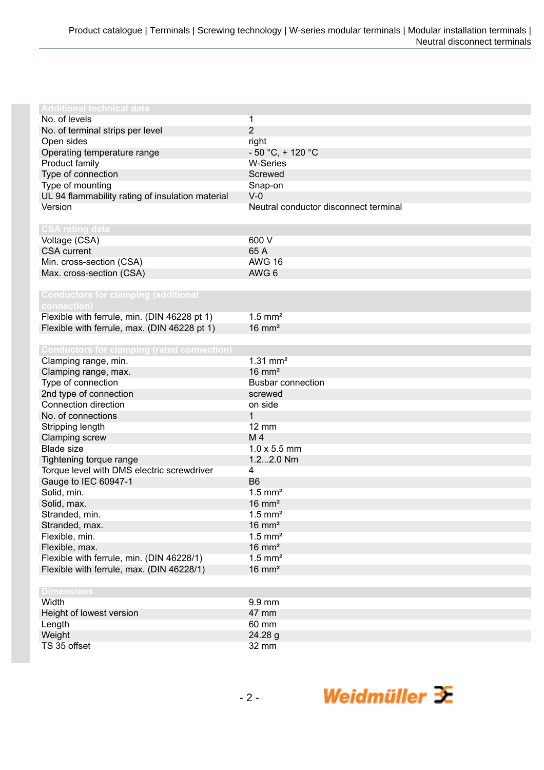| <b>Additional technical data</b>                  |                                       |
|---------------------------------------------------|---------------------------------------|
| No. of levels                                     | 1                                     |
| No. of terminal strips per level                  | $\overline{2}$                        |
| Open sides                                        | right                                 |
| Operating temperature range                       | $-50 °C$ , + 120 °C                   |
| Product family                                    | <b>W-Series</b>                       |
| Type of connection                                | Screwed                               |
| Type of mounting                                  | Snap-on                               |
| UL 94 flammability rating of insulation material  | $V-0$                                 |
| Version                                           | Neutral conductor disconnect terminal |
|                                                   |                                       |
| <b>CSA rating data</b>                            |                                       |
| Voltage (CSA)                                     | 600 V                                 |
| <b>CSA</b> current                                | 65 A                                  |
| Min. cross-section (CSA)                          | <b>AWG 16</b>                         |
| Max. cross-section (CSA)                          | AWG 6                                 |
|                                                   |                                       |
| <b>Conductors for clamping (additional</b>        |                                       |
| connection)                                       |                                       |
| Flexible with ferrule, min. (DIN 46228 pt 1)      | $1.5$ mm <sup>2</sup>                 |
| Flexible with ferrule, max. (DIN 46228 pt 1)      | $16 \text{ mm}^2$                     |
|                                                   |                                       |
| <b>Conductors for clamping (rated connection)</b> |                                       |
| Clamping range, min.                              | $1.31$ mm <sup>2</sup>                |
| Clamping range, max.                              | $16 \text{ mm}^2$                     |
| Type of connection                                | <b>Busbar connection</b>              |
| 2nd type of connection                            | screwed                               |
| Connection direction                              | on side                               |
| No. of connections                                | 1                                     |
| Stripping length                                  | $12 \, \text{mm}$                     |
| Clamping screw                                    | M4                                    |
| <b>Blade size</b>                                 | $1.0 \times 5.5$ mm                   |
| Tightening torque range                           | 1.22.0 Nm                             |
| Torque level with DMS electric screwdriver        | 4                                     |
| Gauge to IEC 60947-1                              | B <sub>6</sub>                        |
| Solid, min.                                       | $1.5$ mm <sup>2</sup>                 |
| Solid, max.                                       | $16 \text{ mm}^2$                     |
| Stranded, min.                                    | $1.5$ mm <sup>2</sup>                 |
| Stranded, max.                                    | $16 \text{ mm}^2$                     |
| Flexible, min.                                    | $1.5$ mm <sup>2</sup>                 |
| Flexible, max.                                    | $16 \text{ mm}^2$                     |
| Flexible with ferrule, min. (DIN 46228/1)         | $1.5$ mm <sup>2</sup>                 |
| Flexible with ferrule, max. (DIN 46228/1)         | $16 \text{ mm}^2$                     |
|                                                   |                                       |
| <b>Dimensions</b>                                 |                                       |
| Width                                             | 9.9 mm                                |
| Height of lowest version                          | 47 mm                                 |
| Length                                            | 60 mm                                 |
| Weight                                            | 24.28 g                               |
| TS 35 offset                                      | 32 mm                                 |
|                                                   |                                       |

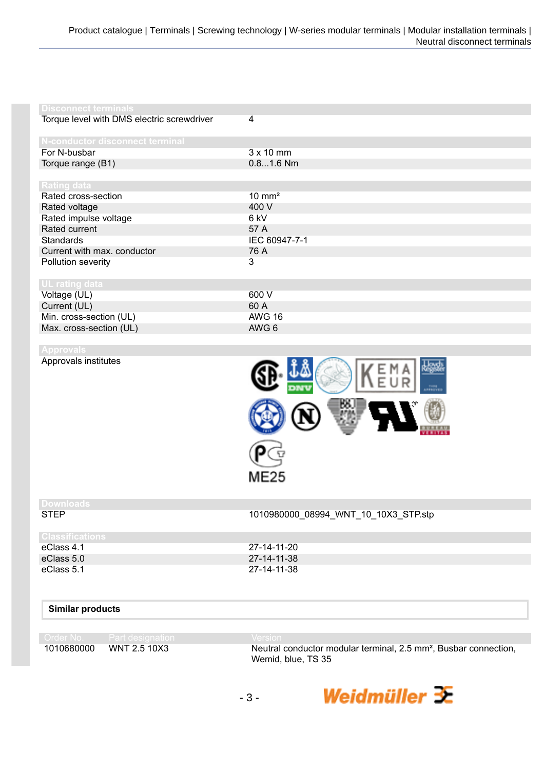| <b>Disconnect terminals</b>                |                   |
|--------------------------------------------|-------------------|
| Torque level with DMS electric screwdriver | 4                 |
| N-conductor disconnect terminal            |                   |
| For N-busbar                               | $3 \times 10$ mm  |
| Torque range (B1)                          | $0.81.6$ Nm       |
|                                            |                   |
| Rating data                                |                   |
| Rated cross-section                        | $10 \text{ mm}^2$ |
| Rated voltage                              | 400 V             |
| Rated impulse voltage                      | 6 kV              |
| Rated current                              | 57 A              |
| <b>Standards</b>                           | IEC 60947-7-1     |
| Current with max. conductor                | 76 A              |
| Pollution severity                         | 3                 |
| UL rating data                             |                   |
| Voltage (UL)                               | 600 V             |
| Current (UL)                               | 60 A              |
| Min. cross-section (UL)                    | <b>AWG 16</b>     |
| Max. cross-section (UL)                    | AWG 6             |
|                                            |                   |
| <b>Approvals</b>                           |                   |
| Approvals institutes                       | ines<br>Stadion   |



## **Downloads**

STEP 1010980000\_08994\_WNT\_10\_10X3\_STP.stp

| <b>Classifications</b> |             |
|------------------------|-------------|
| eClass 4.1             | 27-14-11-20 |
| eClass 5.0             | 27-14-11-38 |
| eClass 5.1             | 27-14-11-38 |

## **Similar products**

|            | <b>I</b> CILVOTENTER |
|------------|----------------------|
| 1010680000 | MNT 2510X3           |

1010680000 WNT 2.5 10X3 Neutral conductor modular terminal, 2.5 mm², Busbar connection, Wemid, blue, TS 35